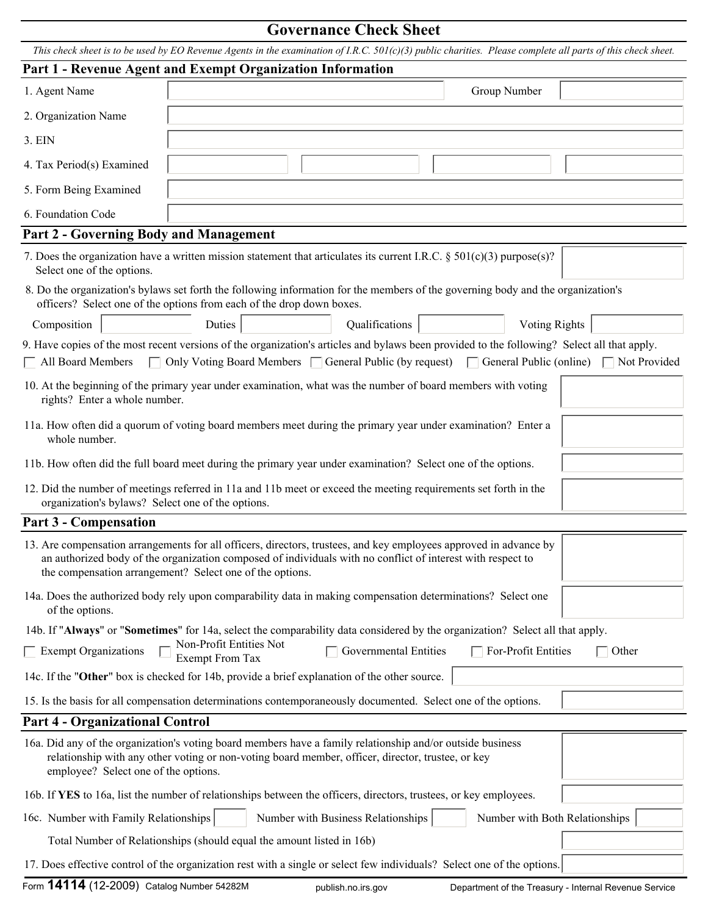## **Governance Check Sheet**

*This check sheet is to be used by EO Revenue Agents in the examination of I.R.C. 501(c)(3) public charities. Please complete all parts of this check sheet.* 

|                                                                                                                                                                                                                                                         | Part 1 - Revenue Agent and Exempt Organization Information                                                                                                                                                                                                                                   |                          |
|---------------------------------------------------------------------------------------------------------------------------------------------------------------------------------------------------------------------------------------------------------|----------------------------------------------------------------------------------------------------------------------------------------------------------------------------------------------------------------------------------------------------------------------------------------------|--------------------------|
| 1. Agent Name                                                                                                                                                                                                                                           | Group Number                                                                                                                                                                                                                                                                                 |                          |
| 2. Organization Name                                                                                                                                                                                                                                    |                                                                                                                                                                                                                                                                                              |                          |
| 3. EIN                                                                                                                                                                                                                                                  |                                                                                                                                                                                                                                                                                              |                          |
| 4. Tax Period(s) Examined                                                                                                                                                                                                                               |                                                                                                                                                                                                                                                                                              |                          |
| 5. Form Being Examined                                                                                                                                                                                                                                  |                                                                                                                                                                                                                                                                                              | $\overline{\phantom{a}}$ |
| 6. Foundation Code                                                                                                                                                                                                                                      |                                                                                                                                                                                                                                                                                              | $\vert$                  |
| <b>Part 2 - Governing Body and Management</b>                                                                                                                                                                                                           |                                                                                                                                                                                                                                                                                              |                          |
| Select one of the options.                                                                                                                                                                                                                              | 7. Does the organization have a written mission statement that articulates its current I.R.C. § 501(c)(3) purpose(s)?                                                                                                                                                                        |                          |
|                                                                                                                                                                                                                                                         | 8. Do the organization's bylaws set forth the following information for the members of the governing body and the organization's<br>officers? Select one of the options from each of the drop down boxes.                                                                                    |                          |
| Composition                                                                                                                                                                                                                                             | Qualifications<br>$\vert \mathbf{v} \vert$<br><b>Voting Rights</b><br>Duties                                                                                                                                                                                                                 | $\vert \textbf{y} \vert$ |
| $\Box$ All Board Members                                                                                                                                                                                                                                | 9. Have copies of the most recent versions of the organization's articles and bylaws been provided to the following? Select all that apply.<br>$\Box$ Only Voting Board Members $\Box$ General Public (by request) $\Box$ General Public (online) $\Box$ Not Provided                        |                          |
| rights? Enter a whole number.                                                                                                                                                                                                                           | 10. At the beginning of the primary year under examination, what was the number of board members with voting                                                                                                                                                                                 |                          |
| whole number.                                                                                                                                                                                                                                           | 11a. How often did a quorum of voting board members meet during the primary year under examination? Enter a                                                                                                                                                                                  |                          |
|                                                                                                                                                                                                                                                         | 11b. How often did the full board meet during the primary year under examination? Select one of the options.                                                                                                                                                                                 | $\blacktriangledown$     |
| 12. Did the number of meetings referred in 11a and 11b meet or exceed the meeting requirements set forth in the<br>organization's bylaws? Select one of the options.                                                                                    |                                                                                                                                                                                                                                                                                              |                          |
| Part 3 - Compensation                                                                                                                                                                                                                                   |                                                                                                                                                                                                                                                                                              |                          |
|                                                                                                                                                                                                                                                         | 13. Are compensation arrangements for all officers, directors, trustees, and key employees approved in advance by<br>an authorized body of the organization composed of individuals with no conflict of interest with respect to<br>the compensation arrangement? Select one of the options. |                          |
| of the options.                                                                                                                                                                                                                                         | 14a. Does the authorized body rely upon comparability data in making compensation determinations? Select one                                                                                                                                                                                 |                          |
|                                                                                                                                                                                                                                                         | 14b. If "Always" or "Sometimes" for 14a, select the comparability data considered by the organization? Select all that apply.                                                                                                                                                                |                          |
| $\Box$ Exempt Organizations                                                                                                                                                                                                                             | Non-Profit Entities Not<br>$\Box$ Governmental Entities<br>For-Profit Entities<br><b>Exempt From Tax</b>                                                                                                                                                                                     | Other<br>$\sim$          |
|                                                                                                                                                                                                                                                         | 14c. If the "Other" box is checked for 14b, provide a brief explanation of the other source.                                                                                                                                                                                                 |                          |
|                                                                                                                                                                                                                                                         | 15. Is the basis for all compensation determinations contemporaneously documented. Select one of the options.                                                                                                                                                                                | $\vert \mathbf{v} \vert$ |
| <b>Part 4 - Organizational Control</b>                                                                                                                                                                                                                  |                                                                                                                                                                                                                                                                                              |                          |
| 16a. Did any of the organization's voting board members have a family relationship and/or outside business<br>relationship with any other voting or non-voting board member, officer, director, trustee, or key<br>employee? Select one of the options. |                                                                                                                                                                                                                                                                                              |                          |
|                                                                                                                                                                                                                                                         | 16b. If YES to 16a, list the number of relationships between the officers, directors, trustees, or key employees.                                                                                                                                                                            |                          |
| 16c. Number with Family Relationships                                                                                                                                                                                                                   | Number with Business Relationships<br>Number with Both Relationships                                                                                                                                                                                                                         |                          |
|                                                                                                                                                                                                                                                         | Total Number of Relationships (should equal the amount listed in 16b)                                                                                                                                                                                                                        |                          |
|                                                                                                                                                                                                                                                         | 17. Does effective control of the organization rest with a single or select few individuals? Select one of the options.                                                                                                                                                                      |                          |